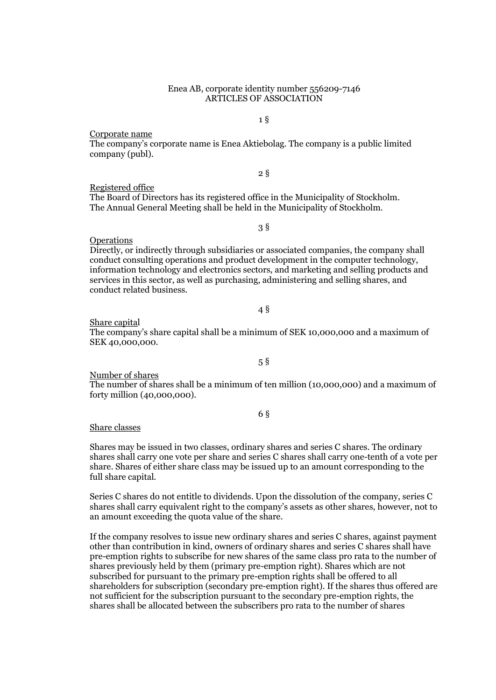### Enea AB, corporate identity number 556209-7146 ARTICLES OF ASSOCIATION

Corporate name

The company's corporate name is Enea Aktiebolag. The company is a public limited company (publ).

2 §

Registered office The Board of Directors has its registered office in the Municipality of Stockholm. The Annual General Meeting shall be held in the Municipality of Stockholm.

3 §

Operations

Directly, or indirectly through subsidiaries or associated companies, the company shall conduct consulting operations and product development in the computer technology, information technology and electronics sectors, and marketing and selling products and services in this sector, as well as purchasing, administering and selling shares, and conduct related business.

4 §

Share capital

The company's share capital shall be a minimum of SEK 10,000,000 and a maximum of SEK 40,000,000.

5 §

Number of shares

The number of shares shall be a minimum of ten million (10,000,000) and a maximum of forty million (40,000,000).

6 §

Share classes

Shares may be issued in two classes, ordinary shares and series C shares. The ordinary shares shall carry one vote per share and series C shares shall carry one-tenth of a vote per share. Shares of either share class may be issued up to an amount corresponding to the full share capital.

Series C shares do not entitle to dividends. Upon the dissolution of the company, series C shares shall carry equivalent right to the company's assets as other shares, however, not to an amount exceeding the quota value of the share.

If the company resolves to issue new ordinary shares and series C shares, against payment other than contribution in kind, owners of ordinary shares and series C shares shall have pre-emption rights to subscribe for new shares of the same class pro rata to the number of shares previously held by them (primary pre-emption right). Shares which are not subscribed for pursuant to the primary pre-emption rights shall be offered to all shareholders for subscription (secondary pre-emption right). If the shares thus offered are not sufficient for the subscription pursuant to the secondary pre-emption rights, the shares shall be allocated between the subscribers pro rata to the number of shares

1 §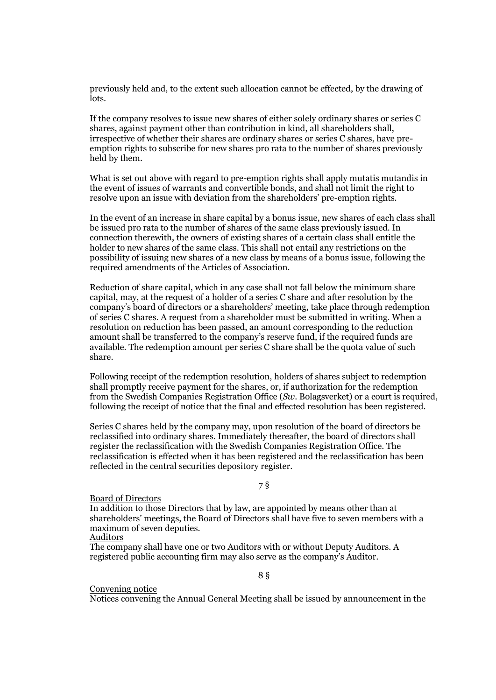previously held and, to the extent such allocation cannot be effected, by the drawing of lots.

If the company resolves to issue new shares of either solely ordinary shares or series C shares, against payment other than contribution in kind, all shareholders shall, irrespective of whether their shares are ordinary shares or series C shares, have preemption rights to subscribe for new shares pro rata to the number of shares previously held by them.

What is set out above with regard to pre-emption rights shall apply mutatis mutandis in the event of issues of warrants and convertible bonds, and shall not limit the right to resolve upon an issue with deviation from the shareholders' pre-emption rights.

In the event of an increase in share capital by a bonus issue, new shares of each class shall be issued pro rata to the number of shares of the same class previously issued. In connection therewith, the owners of existing shares of a certain class shall entitle the holder to new shares of the same class. This shall not entail any restrictions on the possibility of issuing new shares of a new class by means of a bonus issue, following the required amendments of the Articles of Association.

Reduction of share capital, which in any case shall not fall below the minimum share capital, may, at the request of a holder of a series C share and after resolution by the company's board of directors or a shareholders' meeting, take place through redemption of series C shares. A request from a shareholder must be submitted in writing. When a resolution on reduction has been passed, an amount corresponding to the reduction amount shall be transferred to the company's reserve fund, if the required funds are available. The redemption amount per series C share shall be the quota value of such share.

Following receipt of the redemption resolution, holders of shares subject to redemption shall promptly receive payment for the shares, or, if authorization for the redemption from the Swedish Companies Registration Office (*Sw*. Bolagsverket) or a court is required, following the receipt of notice that the final and effected resolution has been registered.

Series C shares held by the company may, upon resolution of the board of directors be reclassified into ordinary shares. Immediately thereafter, the board of directors shall register the reclassification with the Swedish Companies Registration Office. The reclassification is effected when it has been registered and the reclassification has been reflected in the central securities depository register.

### 7 §

#### Board of Directors

In addition to those Directors that by law, are appointed by means other than at shareholders' meetings, the Board of Directors shall have five to seven members with a maximum of seven deputies.

## **Auditors**

The company shall have one or two Auditors with or without Deputy Auditors. A registered public accounting firm may also serve as the company's Auditor.

8 §

### Convening notice

Notices convening the Annual General Meeting shall be issued by announcement in the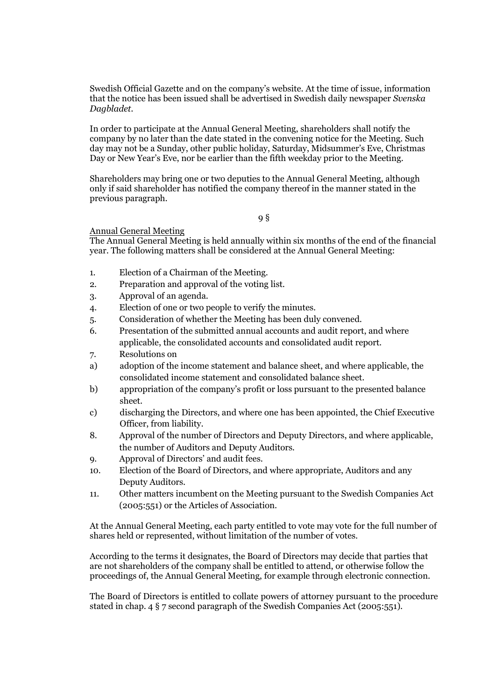Swedish Official Gazette and on the company's website. At the time of issue, information that the notice has been issued shall be advertised in Swedish daily newspaper *Svenska Dagbladet*.

In order to participate at the Annual General Meeting, shareholders shall notify the company by no later than the date stated in the convening notice for the Meeting. Such day may not be a Sunday, other public holiday, Saturday, Midsummer's Eve, Christmas Day or New Year's Eve, nor be earlier than the fifth weekday prior to the Meeting.

Shareholders may bring one or two deputies to the Annual General Meeting, although only if said shareholder has notified the company thereof in the manner stated in the previous paragraph.

9 §

# Annual General Meeting

The Annual General Meeting is held annually within six months of the end of the financial year. The following matters shall be considered at the Annual General Meeting:

- 1. Election of a Chairman of the Meeting.
- 2. Preparation and approval of the voting list.
- 3. Approval of an agenda.
- 4. Election of one or two people to verify the minutes.
- 5. Consideration of whether the Meeting has been duly convened.
- 6. Presentation of the submitted annual accounts and audit report, and where applicable, the consolidated accounts and consolidated audit report.
- 7. Resolutions on
- a) adoption of the income statement and balance sheet, and where applicable, the consolidated income statement and consolidated balance sheet.
- b) appropriation of the company's profit or loss pursuant to the presented balance sheet.
- c) discharging the Directors, and where one has been appointed, the Chief Executive Officer, from liability.
- 8. Approval of the number of Directors and Deputy Directors, and where applicable, the number of Auditors and Deputy Auditors.
- 9. Approval of Directors' and audit fees.
- 10. Election of the Board of Directors, and where appropriate, Auditors and any Deputy Auditors.
- 11. Other matters incumbent on the Meeting pursuant to the Swedish Companies Act (2005:551) or the Articles of Association.

At the Annual General Meeting, each party entitled to vote may vote for the full number of shares held or represented, without limitation of the number of votes.

According to the terms it designates, the Board of Directors may decide that parties that are not shareholders of the company shall be entitled to attend, or otherwise follow the proceedings of, the Annual General Meeting, for example through electronic connection.

The Board of Directors is entitled to collate powers of attorney pursuant to the procedure stated in chap. 4 § 7 second paragraph of the Swedish Companies Act (2005:551).